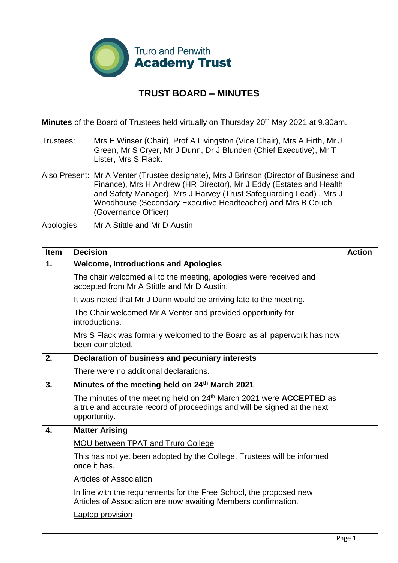

## **TRUST BOARD – MINUTES**

**Minutes** of the Board of Trustees held virtually on Thursday 20<sup>th</sup> May 2021 at 9.30am.

Trustees: Mrs E Winser (Chair), Prof A Livingston (Vice Chair), Mrs A Firth, Mr J Green, Mr S Cryer, Mr J Dunn, Dr J Blunden (Chief Executive), Mr T Lister, Mrs S Flack.

Also Present: Mr A Venter (Trustee designate), Mrs J Brinson (Director of Business and Finance), Mrs H Andrew (HR Director), Mr J Eddy (Estates and Health and Safety Manager), Mrs J Harvey (Trust Safeguarding Lead) , Mrs J Woodhouse (Secondary Executive Headteacher) and Mrs B Couch (Governance Officer)

Apologies: Mr A Stittle and Mr D Austin.

| <b>Item</b>        | <b>Decision</b>                                                                                                                                                                    | <b>Action</b> |
|--------------------|------------------------------------------------------------------------------------------------------------------------------------------------------------------------------------|---------------|
| 1.                 | <b>Welcome, Introductions and Apologies</b>                                                                                                                                        |               |
|                    | The chair welcomed all to the meeting, apologies were received and<br>accepted from Mr A Stittle and Mr D Austin.                                                                  |               |
|                    | It was noted that Mr J Dunn would be arriving late to the meeting.                                                                                                                 |               |
|                    | The Chair welcomed Mr A Venter and provided opportunity for<br>introductions.                                                                                                      |               |
|                    | Mrs S Flack was formally welcomed to the Board as all paperwork has now<br>been completed.                                                                                         |               |
| 2.                 | Declaration of business and pecuniary interests                                                                                                                                    |               |
|                    | There were no additional declarations.                                                                                                                                             |               |
| 3.                 | Minutes of the meeting held on 24 <sup>th</sup> March 2021                                                                                                                         |               |
|                    | The minutes of the meeting held on 24 <sup>th</sup> March 2021 were <b>ACCEPTED</b> as<br>a true and accurate record of proceedings and will be signed at the next<br>opportunity. |               |
| $\boldsymbol{4}$ . | <b>Matter Arising</b>                                                                                                                                                              |               |
|                    | <b>MOU between TPAT and Truro College</b>                                                                                                                                          |               |
|                    | This has not yet been adopted by the College, Trustees will be informed<br>once it has.                                                                                            |               |
|                    | <b>Articles of Association</b>                                                                                                                                                     |               |
|                    | In line with the requirements for the Free School, the proposed new<br>Articles of Association are now awaiting Members confirmation.                                              |               |
|                    | <b>Laptop provision</b>                                                                                                                                                            |               |
|                    |                                                                                                                                                                                    |               |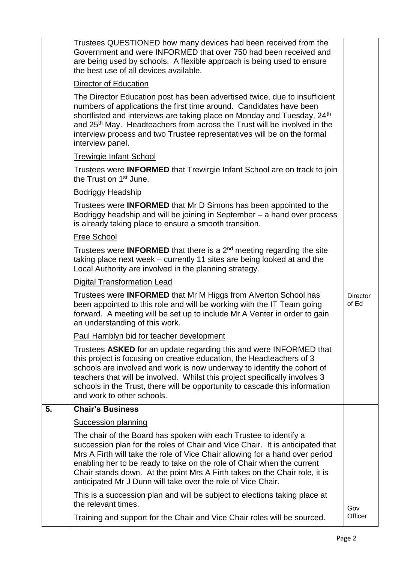|    | Trustees QUESTIONED how many devices had been received from the<br>Government and were INFORMED that over 750 had been received and<br>are being used by schools. A flexible approach is being used to ensure<br>the best use of all devices available.                                                                                                                                                                                                    |                   |
|----|------------------------------------------------------------------------------------------------------------------------------------------------------------------------------------------------------------------------------------------------------------------------------------------------------------------------------------------------------------------------------------------------------------------------------------------------------------|-------------------|
|    | Director of Education                                                                                                                                                                                                                                                                                                                                                                                                                                      |                   |
|    | The Director Education post has been advertised twice, due to insufficient<br>numbers of applications the first time around. Candidates have been<br>shortlisted and interviews are taking place on Monday and Tuesday, 24 <sup>th</sup><br>and 25 <sup>th</sup> May. Headteachers from across the Trust will be involved in the<br>interview process and two Trustee representatives will be on the formal<br>interview panel.                            |                   |
|    | <b>Trewirgie Infant School</b>                                                                                                                                                                                                                                                                                                                                                                                                                             |                   |
|    | Trustees were <b>INFORMED</b> that Trewirgie Infant School are on track to join<br>the Trust on 1 <sup>st</sup> June.                                                                                                                                                                                                                                                                                                                                      |                   |
|    | <b>Bodriggy Headship</b>                                                                                                                                                                                                                                                                                                                                                                                                                                   |                   |
|    | Trustees were <b>INFORMED</b> that Mr D Simons has been appointed to the<br>Bodriggy headship and will be joining in September - a hand over process<br>is already taking place to ensure a smooth transition.                                                                                                                                                                                                                                             |                   |
|    | <b>Free School</b>                                                                                                                                                                                                                                                                                                                                                                                                                                         |                   |
|    | Trustees were <b>INFORMED</b> that there is a $2^{nd}$ meeting regarding the site<br>taking place next week – currently 11 sites are being looked at and the<br>Local Authority are involved in the planning strategy.                                                                                                                                                                                                                                     |                   |
|    | <b>Digital Transformation Lead</b>                                                                                                                                                                                                                                                                                                                                                                                                                         |                   |
|    | Trustees were <b>INFORMED</b> that Mr M Higgs from Alverton School has<br>been appointed to this role and will be working with the IT Team going<br>forward. A meeting will be set up to include Mr A Venter in order to gain<br>an understanding of this work.                                                                                                                                                                                            | Director<br>of Ed |
|    | Paul Hamblyn bid for teacher development                                                                                                                                                                                                                                                                                                                                                                                                                   |                   |
|    | Trustees ASKED for an update regarding this and were INFORMED that<br>this project is focusing on creative education, the Headteachers of 3<br>schools are involved and work is now underway to identify the cohort of<br>teachers that will be involved. Whilst this project specifically involves 3<br>schools in the Trust, there will be opportunity to cascade this information<br>and work to other schools.                                         |                   |
| 5. | <b>Chair's Business</b>                                                                                                                                                                                                                                                                                                                                                                                                                                    |                   |
|    | <b>Succession planning</b>                                                                                                                                                                                                                                                                                                                                                                                                                                 |                   |
|    | The chair of the Board has spoken with each Trustee to identify a<br>succession plan for the roles of Chair and Vice Chair. It is anticipated that<br>Mrs A Firth will take the role of Vice Chair allowing for a hand over period<br>enabling her to be ready to take on the role of Chair when the current<br>Chair stands down. At the point Mrs A Firth takes on the Chair role, it is<br>anticipated Mr J Dunn will take over the role of Vice Chair. |                   |
|    | This is a succession plan and will be subject to elections taking place at<br>the relevant times.                                                                                                                                                                                                                                                                                                                                                          | Gov               |
|    | Training and support for the Chair and Vice Chair roles will be sourced.                                                                                                                                                                                                                                                                                                                                                                                   | Officer           |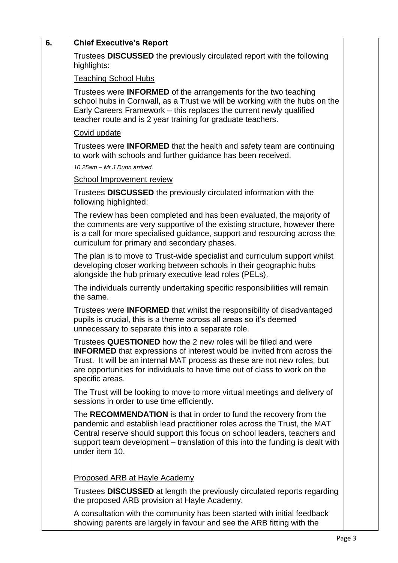| 6. | <b>Chief Executive's Report</b>                                                                                                                                                                                                                                                                                                |  |
|----|--------------------------------------------------------------------------------------------------------------------------------------------------------------------------------------------------------------------------------------------------------------------------------------------------------------------------------|--|
|    | Trustees DISCUSSED the previously circulated report with the following<br>highlights:                                                                                                                                                                                                                                          |  |
|    | <b>Teaching School Hubs</b>                                                                                                                                                                                                                                                                                                    |  |
|    | Trustees were <b>INFORMED</b> of the arrangements for the two teaching<br>school hubs in Cornwall, as a Trust we will be working with the hubs on the<br>Early Careers Framework - this replaces the current newly qualified<br>teacher route and is 2 year training for graduate teachers.                                    |  |
|    | Covid update                                                                                                                                                                                                                                                                                                                   |  |
|    | Trustees were <b>INFORMED</b> that the health and safety team are continuing<br>to work with schools and further guidance has been received.                                                                                                                                                                                   |  |
|    | 10.25am - Mr J Dunn arrived.                                                                                                                                                                                                                                                                                                   |  |
|    | <b>School Improvement review</b>                                                                                                                                                                                                                                                                                               |  |
|    | Trustees <b>DISCUSSED</b> the previously circulated information with the<br>following highlighted:                                                                                                                                                                                                                             |  |
|    | The review has been completed and has been evaluated, the majority of<br>the comments are very supportive of the existing structure, however there<br>is a call for more specialised guidance, support and resourcing across the<br>curriculum for primary and secondary phases.                                               |  |
|    | The plan is to move to Trust-wide specialist and curriculum support whilst<br>developing closer working between schools in their geographic hubs<br>alongside the hub primary executive lead roles (PELs).                                                                                                                     |  |
|    | The individuals currently undertaking specific responsibilities will remain<br>the same.                                                                                                                                                                                                                                       |  |
|    | Trustees were <b>INFORMED</b> that whilst the responsibility of disadvantaged<br>pupils is crucial, this is a theme across all areas so it's deemed<br>unnecessary to separate this into a separate role.                                                                                                                      |  |
|    | Trustees QUESTIONED how the 2 new roles will be filled and were<br><b>INFORMED</b> that expressions of interest would be invited from across the<br>Trust. It will be an internal MAT process as these are not new roles, but<br>are opportunities for individuals to have time out of class to work on the<br>specific areas. |  |
|    | The Trust will be looking to move to more virtual meetings and delivery of<br>sessions in order to use time efficiently.                                                                                                                                                                                                       |  |
|    | The RECOMMENDATION is that in order to fund the recovery from the<br>pandemic and establish lead practitioner roles across the Trust, the MAT<br>Central reserve should support this focus on school leaders, teachers and<br>support team development – translation of this into the funding is dealt with<br>under item 10.  |  |
|    | <b>Proposed ARB at Hayle Academy</b>                                                                                                                                                                                                                                                                                           |  |
|    | Trustees DISCUSSED at length the previously circulated reports regarding<br>the proposed ARB provision at Hayle Academy.                                                                                                                                                                                                       |  |
|    | A consultation with the community has been started with initial feedback<br>showing parents are largely in favour and see the ARB fitting with the                                                                                                                                                                             |  |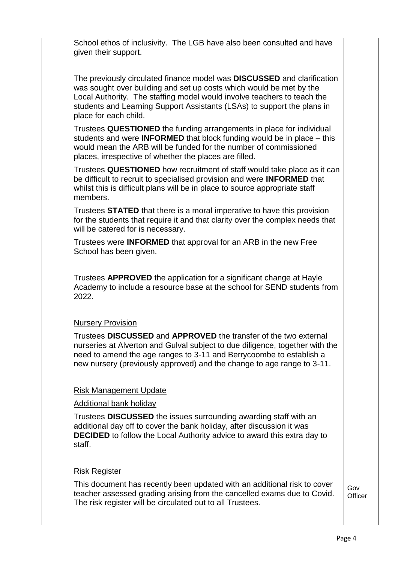School ethos of inclusivity. The LGB have also been consulted and have given their support.

The previously circulated finance model was **DISCUSSED** and clarification was sought over building and set up costs which would be met by the Local Authority. The staffing model would involve teachers to teach the students and Learning Support Assistants (LSAs) to support the plans in place for each child.

Trustees **QUESTIONED** the funding arrangements in place for individual students and were **INFORMED** that block funding would be in place – this would mean the ARB will be funded for the number of commissioned places, irrespective of whether the places are filled.

Trustees **QUESTIONED** how recruitment of staff would take place as it can be difficult to recruit to specialised provision and were **INFORMED** that whilst this is difficult plans will be in place to source appropriate staff members.

Trustees **STATED** that there is a moral imperative to have this provision for the students that require it and that clarity over the complex needs that will be catered for is necessary.

Trustees were **INFORMED** that approval for an ARB in the new Free School has been given.

Trustees **APPROVED** the application for a significant change at Hayle Academy to include a resource base at the school for SEND students from 2022.

## Nursery Provision

Trustees **DISCUSSED** and **APPROVED** the transfer of the two external nurseries at Alverton and Gulval subject to due diligence, together with the need to amend the age ranges to 3-11 and Berrycoombe to establish a new nursery (previously approved) and the change to age range to 3-11.

## Risk Management Update

Additional bank holiday

Trustees **DISCUSSED** the issues surrounding awarding staff with an additional day off to cover the bank holiday, after discussion it was **DECIDED** to follow the Local Authority advice to award this extra day to staff.

## Risk Register

This document has recently been updated with an additional risk to cover teacher assessed grading arising from the cancelled exams due to Covid. The risk register will be circulated out to all Trustees.

Gov **Officer**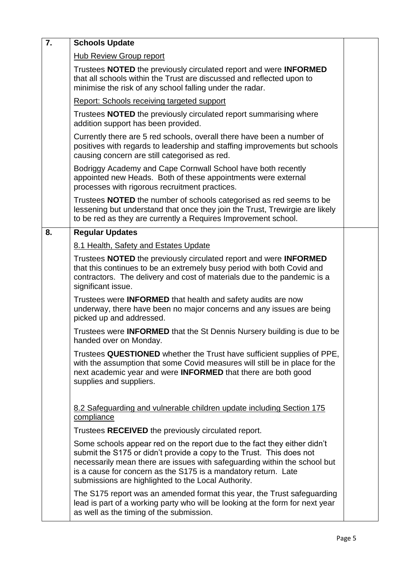| $\overline{7}$ . | <b>Schools Update</b>                                                                                                                                                                                                                                                                                                                                  |  |
|------------------|--------------------------------------------------------------------------------------------------------------------------------------------------------------------------------------------------------------------------------------------------------------------------------------------------------------------------------------------------------|--|
|                  | <b>Hub Review Group report</b>                                                                                                                                                                                                                                                                                                                         |  |
|                  | Trustees NOTED the previously circulated report and were INFORMED<br>that all schools within the Trust are discussed and reflected upon to<br>minimise the risk of any school falling under the radar.                                                                                                                                                 |  |
|                  | Report: Schools receiving targeted support                                                                                                                                                                                                                                                                                                             |  |
|                  | Trustees <b>NOTED</b> the previously circulated report summarising where<br>addition support has been provided.                                                                                                                                                                                                                                        |  |
|                  | Currently there are 5 red schools, overall there have been a number of<br>positives with regards to leadership and staffing improvements but schools<br>causing concern are still categorised as red.                                                                                                                                                  |  |
|                  | Bodriggy Academy and Cape Cornwall School have both recently<br>appointed new Heads. Both of these appointments were external<br>processes with rigorous recruitment practices.                                                                                                                                                                        |  |
|                  | Trustees <b>NOTED</b> the number of schools categorised as red seems to be<br>lessening but understand that once they join the Trust, Trewirgie are likely<br>to be red as they are currently a Requires Improvement school.                                                                                                                           |  |
| 8.               | <b>Regular Updates</b>                                                                                                                                                                                                                                                                                                                                 |  |
|                  | 8.1 Health, Safety and Estates Update                                                                                                                                                                                                                                                                                                                  |  |
|                  | Trustees NOTED the previously circulated report and were INFORMED<br>that this continues to be an extremely busy period with both Covid and<br>contractors. The delivery and cost of materials due to the pandemic is a<br>significant issue.                                                                                                          |  |
|                  | Trustees were INFORMED that health and safety audits are now<br>underway, there have been no major concerns and any issues are being<br>picked up and addressed.                                                                                                                                                                                       |  |
|                  | Trustees were <b>INFORMED</b> that the St Dennis Nursery building is due to be<br>handed over on Monday.                                                                                                                                                                                                                                               |  |
|                  | Trustees QUESTIONED whether the Trust have sufficient supplies of PPE,<br>with the assumption that some Covid measures will still be in place for the<br>next academic year and were <b>INFORMED</b> that there are both good<br>supplies and suppliers.                                                                                               |  |
|                  | 8.2 Safeguarding and vulnerable children update including Section 175<br>compliance                                                                                                                                                                                                                                                                    |  |
|                  | Trustees RECEIVED the previously circulated report.                                                                                                                                                                                                                                                                                                    |  |
|                  | Some schools appear red on the report due to the fact they either didn't<br>submit the S175 or didn't provide a copy to the Trust. This does not<br>necessarily mean there are issues with safeguarding within the school but<br>is a cause for concern as the S175 is a mandatory return. Late<br>submissions are highlighted to the Local Authority. |  |
|                  | The S175 report was an amended format this year, the Trust safeguarding<br>lead is part of a working party who will be looking at the form for next year<br>as well as the timing of the submission.                                                                                                                                                   |  |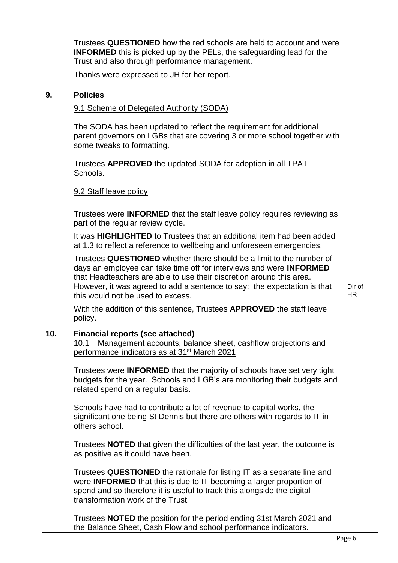|     | Trustees QUESTIONED how the red schools are held to account and were<br><b>INFORMED</b> this is picked up by the PELs, the safeguarding lead for the<br>Trust and also through performance management.                                                                                                                                      |                     |
|-----|---------------------------------------------------------------------------------------------------------------------------------------------------------------------------------------------------------------------------------------------------------------------------------------------------------------------------------------------|---------------------|
|     | Thanks were expressed to JH for her report.                                                                                                                                                                                                                                                                                                 |                     |
| 9.  | <b>Policies</b>                                                                                                                                                                                                                                                                                                                             |                     |
|     | 9.1 Scheme of Delegated Authority (SODA)                                                                                                                                                                                                                                                                                                    |                     |
|     | The SODA has been updated to reflect the requirement for additional<br>parent governors on LGBs that are covering 3 or more school together with<br>some tweaks to formatting.                                                                                                                                                              |                     |
|     | Trustees <b>APPROVED</b> the updated SODA for adoption in all TPAT<br>Schools.                                                                                                                                                                                                                                                              |                     |
|     | 9.2 Staff leave policy                                                                                                                                                                                                                                                                                                                      |                     |
|     | Trustees were <b>INFORMED</b> that the staff leave policy requires reviewing as<br>part of the regular review cycle.                                                                                                                                                                                                                        |                     |
|     | It was <b>HIGHLIGHTED</b> to Trustees that an additional item had been added<br>at 1.3 to reflect a reference to wellbeing and unforeseen emergencies.                                                                                                                                                                                      |                     |
|     | Trustees QUESTIONED whether there should be a limit to the number of<br>days an employee can take time off for interviews and were <b>INFORMED</b><br>that Headteachers are able to use their discretion around this area.<br>However, it was agreed to add a sentence to say: the expectation is that<br>this would not be used to excess. | Dir of<br><b>HR</b> |
|     | With the addition of this sentence, Trustees APPROVED the staff leave<br>policy.                                                                                                                                                                                                                                                            |                     |
| 10. | <b>Financial reports (see attached)</b><br>Management accounts, balance sheet, cashflow projections and<br>10.1<br>performance indicators as at 31 <sup>st</sup> March 2021                                                                                                                                                                 |                     |
|     | Trustees were <b>INFORMED</b> that the majority of schools have set very tight<br>budgets for the year. Schools and LGB's are monitoring their budgets and<br>related spend on a regular basis.                                                                                                                                             |                     |
|     | Schools have had to contribute a lot of revenue to capital works, the<br>significant one being St Dennis but there are others with regards to IT in<br>others school.                                                                                                                                                                       |                     |
|     | Trustees <b>NOTED</b> that given the difficulties of the last year, the outcome is<br>as positive as it could have been.                                                                                                                                                                                                                    |                     |
|     | Trustees QUESTIONED the rationale for listing IT as a separate line and<br>were INFORMED that this is due to IT becoming a larger proportion of<br>spend and so therefore it is useful to track this alongside the digital<br>transformation work of the Trust.                                                                             |                     |
|     | Trustees <b>NOTED</b> the position for the period ending 31st March 2021 and<br>the Balance Sheet, Cash Flow and school performance indicators.                                                                                                                                                                                             |                     |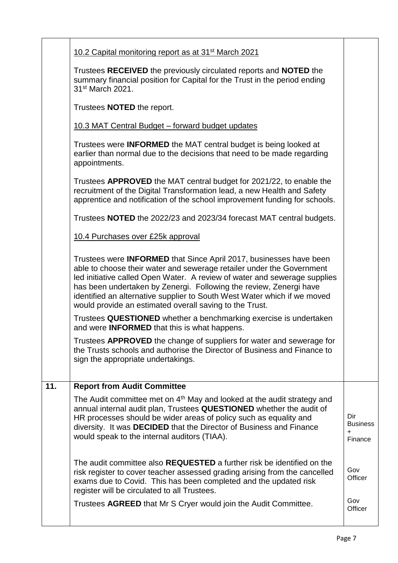|     | 10.2 Capital monitoring report as at 31 <sup>st</sup> March 2021                                                                                                                                                                                                                                                                                                                                                                             |                                                |
|-----|----------------------------------------------------------------------------------------------------------------------------------------------------------------------------------------------------------------------------------------------------------------------------------------------------------------------------------------------------------------------------------------------------------------------------------------------|------------------------------------------------|
|     | Trustees RECEIVED the previously circulated reports and NOTED the<br>summary financial position for Capital for the Trust in the period ending<br>31 <sup>st</sup> March 2021.                                                                                                                                                                                                                                                               |                                                |
|     | Trustees <b>NOTED</b> the report.                                                                                                                                                                                                                                                                                                                                                                                                            |                                                |
|     | 10.3 MAT Central Budget - forward budget updates                                                                                                                                                                                                                                                                                                                                                                                             |                                                |
|     | Trustees were <b>INFORMED</b> the MAT central budget is being looked at<br>earlier than normal due to the decisions that need to be made regarding<br>appointments.                                                                                                                                                                                                                                                                          |                                                |
|     | Trustees APPROVED the MAT central budget for 2021/22, to enable the<br>recruitment of the Digital Transformation lead, a new Health and Safety<br>apprentice and notification of the school improvement funding for schools.                                                                                                                                                                                                                 |                                                |
|     | Trustees NOTED the 2022/23 and 2023/34 forecast MAT central budgets.                                                                                                                                                                                                                                                                                                                                                                         |                                                |
|     | 10.4 Purchases over £25k approval                                                                                                                                                                                                                                                                                                                                                                                                            |                                                |
|     | Trustees were <b>INFORMED</b> that Since April 2017, businesses have been<br>able to choose their water and sewerage retailer under the Government<br>led initiative called Open Water. A review of water and sewerage supplies<br>has been undertaken by Zenergi. Following the review, Zenergi have<br>identified an alternative supplier to South West Water which if we moved<br>would provide an estimated overall saving to the Trust. |                                                |
|     | Trustees QUESTIONED whether a benchmarking exercise is undertaken<br>and were <b>INFORMED</b> that this is what happens.                                                                                                                                                                                                                                                                                                                     |                                                |
|     | Trustees APPROVED the change of suppliers for water and sewerage for<br>the Trusts schools and authorise the Director of Business and Finance to<br>sign the appropriate undertakings.                                                                                                                                                                                                                                                       |                                                |
| 11. | <b>Report from Audit Committee</b>                                                                                                                                                                                                                                                                                                                                                                                                           |                                                |
|     | The Audit committee met on 4 <sup>th</sup> May and looked at the audit strategy and<br>annual internal audit plan, Trustees QUESTIONED whether the audit of<br>HR processes should be wider areas of policy such as equality and<br>diversity. It was DECIDED that the Director of Business and Finance<br>would speak to the internal auditors (TIAA).                                                                                      | Dir<br><b>Business</b><br>$\ddot{}$<br>Finance |
|     | The audit committee also <b>REQUESTED</b> a further risk be identified on the<br>risk register to cover teacher assessed grading arising from the cancelled<br>exams due to Covid. This has been completed and the updated risk<br>register will be circulated to all Trustees.                                                                                                                                                              | Gov<br>Officer                                 |
|     | Trustees AGREED that Mr S Cryer would join the Audit Committee.                                                                                                                                                                                                                                                                                                                                                                              | Gov<br>Officer                                 |